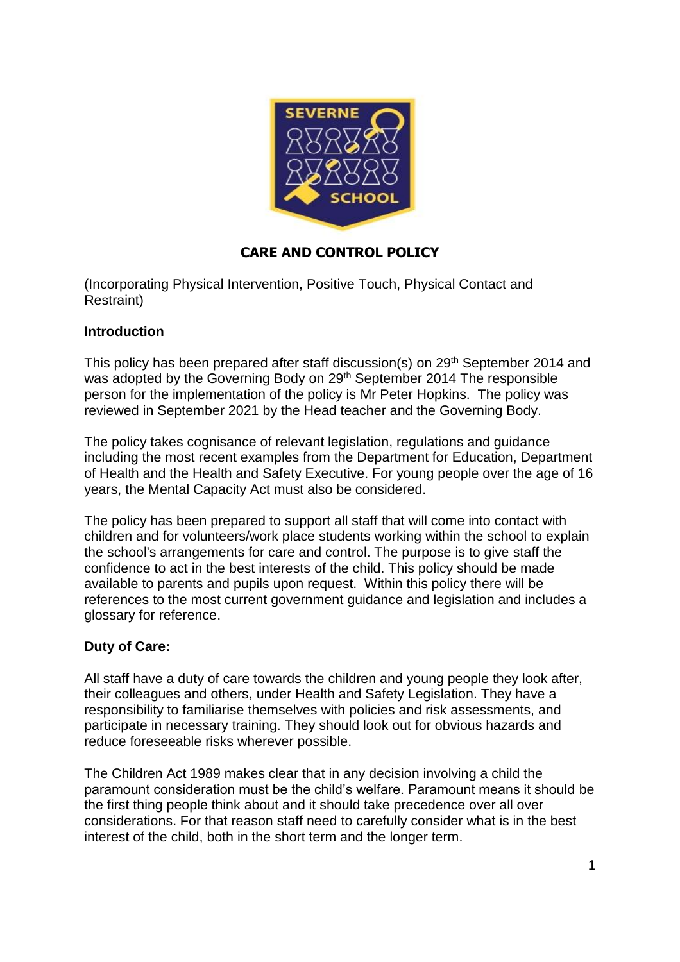

# **CARE AND CONTROL POLICY**

(Incorporating Physical Intervention, Positive Touch, Physical Contact and Restraint)

### **Introduction**

This policy has been prepared after staff discussion(s) on 29<sup>th</sup> September 2014 and was adopted by the Governing Body on 29<sup>th</sup> September 2014 The responsible person for the implementation of the policy is Mr Peter Hopkins. The policy was reviewed in September 2021 by the Head teacher and the Governing Body.

The policy takes cognisance of relevant legislation, regulations and guidance including the most recent examples from the Department for Education, Department of Health and the Health and Safety Executive. For young people over the age of 16 years, the Mental Capacity Act must also be considered.

The policy has been prepared to support all staff that will come into contact with children and for volunteers/work place students working within the school to explain the school's arrangements for care and control. The purpose is to give staff the confidence to act in the best interests of the child. This policy should be made available to parents and pupils upon request. Within this policy there will be references to the most current government guidance and legislation and includes a glossary for reference.

# **Duty of Care:**

All staff have a duty of care towards the children and young people they look after, their colleagues and others, under Health and Safety Legislation. They have a responsibility to familiarise themselves with policies and risk assessments, and participate in necessary training. They should look out for obvious hazards and reduce foreseeable risks wherever possible.

The Children Act 1989 makes clear that in any decision involving a child the paramount consideration must be the child's welfare. Paramount means it should be the first thing people think about and it should take precedence over all over considerations. For that reason staff need to carefully consider what is in the best interest of the child, both in the short term and the longer term.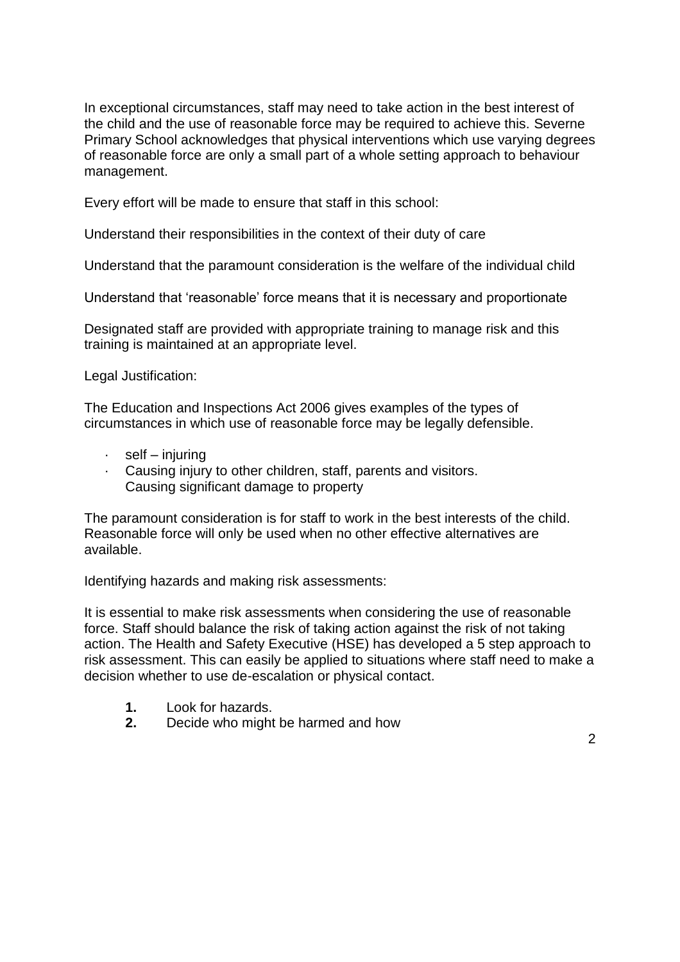In exceptional circumstances, staff may need to take action in the best interest of the child and the use of reasonable force may be required to achieve this. Severne Primary School acknowledges that physical interventions which use varying degrees of reasonable force are only a small part of a whole setting approach to behaviour management.

Every effort will be made to ensure that staff in this school:

Understand their responsibilities in the context of their duty of care

Understand that the paramount consideration is the welfare of the individual child

Understand that 'reasonable' force means that it is necessary and proportionate

Designated staff are provided with appropriate training to manage risk and this training is maintained at an appropriate level.

Legal Justification:

The Education and Inspections Act 2006 gives examples of the types of circumstances in which use of reasonable force may be legally defensible.

- $\cdot$  self injuring
- · Causing injury to other children, staff, parents and visitors. Causing significant damage to property

The paramount consideration is for staff to work in the best interests of the child. Reasonable force will only be used when no other effective alternatives are available.

Identifying hazards and making risk assessments:

It is essential to make risk assessments when considering the use of reasonable force. Staff should balance the risk of taking action against the risk of not taking action. The Health and Safety Executive (HSE) has developed a 5 step approach to risk assessment. This can easily be applied to situations where staff need to make a decision whether to use de-escalation or physical contact.

- **1.** Look for hazards.
- **2.** Decide who might be harmed and how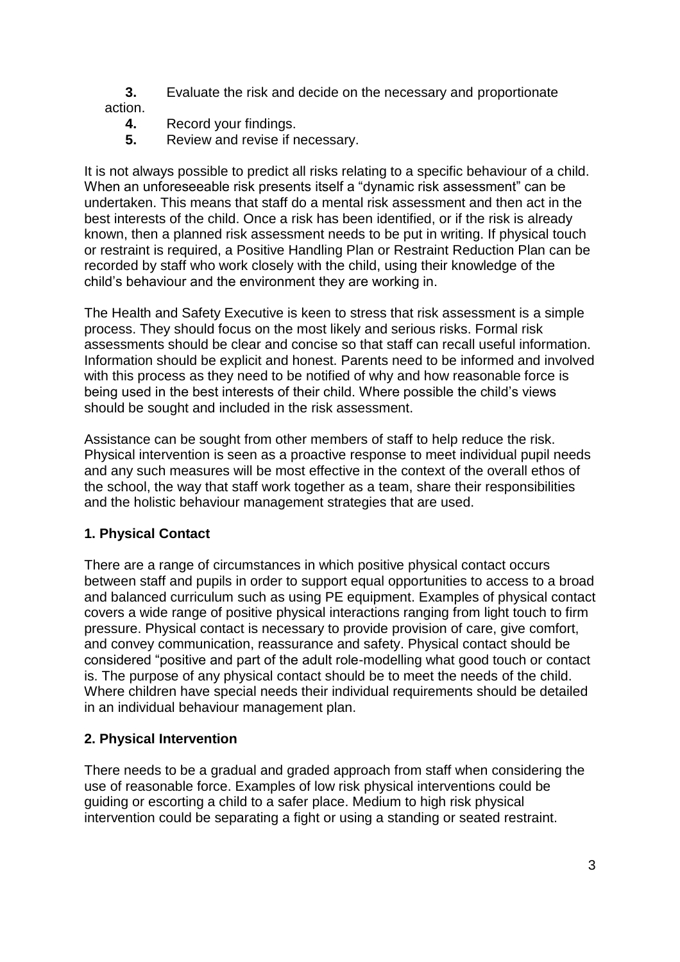**3.** Evaluate the risk and decide on the necessary and proportionate action.

- **4.** Record your findings.
- **5.** Review and revise if necessary.

It is not always possible to predict all risks relating to a specific behaviour of a child. When an unforeseeable risk presents itself a "dynamic risk assessment" can be undertaken. This means that staff do a mental risk assessment and then act in the best interests of the child. Once a risk has been identified, or if the risk is already known, then a planned risk assessment needs to be put in writing. If physical touch or restraint is required, a Positive Handling Plan or Restraint Reduction Plan can be recorded by staff who work closely with the child, using their knowledge of the child's behaviour and the environment they are working in.

The Health and Safety Executive is keen to stress that risk assessment is a simple process. They should focus on the most likely and serious risks. Formal risk assessments should be clear and concise so that staff can recall useful information. Information should be explicit and honest. Parents need to be informed and involved with this process as they need to be notified of why and how reasonable force is being used in the best interests of their child. Where possible the child's views should be sought and included in the risk assessment.

Assistance can be sought from other members of staff to help reduce the risk. Physical intervention is seen as a proactive response to meet individual pupil needs and any such measures will be most effective in the context of the overall ethos of the school, the way that staff work together as a team, share their responsibilities and the holistic behaviour management strategies that are used.

# **1. Physical Contact**

There are a range of circumstances in which positive physical contact occurs between staff and pupils in order to support equal opportunities to access to a broad and balanced curriculum such as using PE equipment. Examples of physical contact covers a wide range of positive physical interactions ranging from light touch to firm pressure. Physical contact is necessary to provide provision of care, give comfort, and convey communication, reassurance and safety. Physical contact should be considered "positive and part of the adult role-modelling what good touch or contact is. The purpose of any physical contact should be to meet the needs of the child. Where children have special needs their individual requirements should be detailed in an individual behaviour management plan.

# **2. Physical Intervention**

There needs to be a gradual and graded approach from staff when considering the use of reasonable force. Examples of low risk physical interventions could be guiding or escorting a child to a safer place. Medium to high risk physical intervention could be separating a fight or using a standing or seated restraint.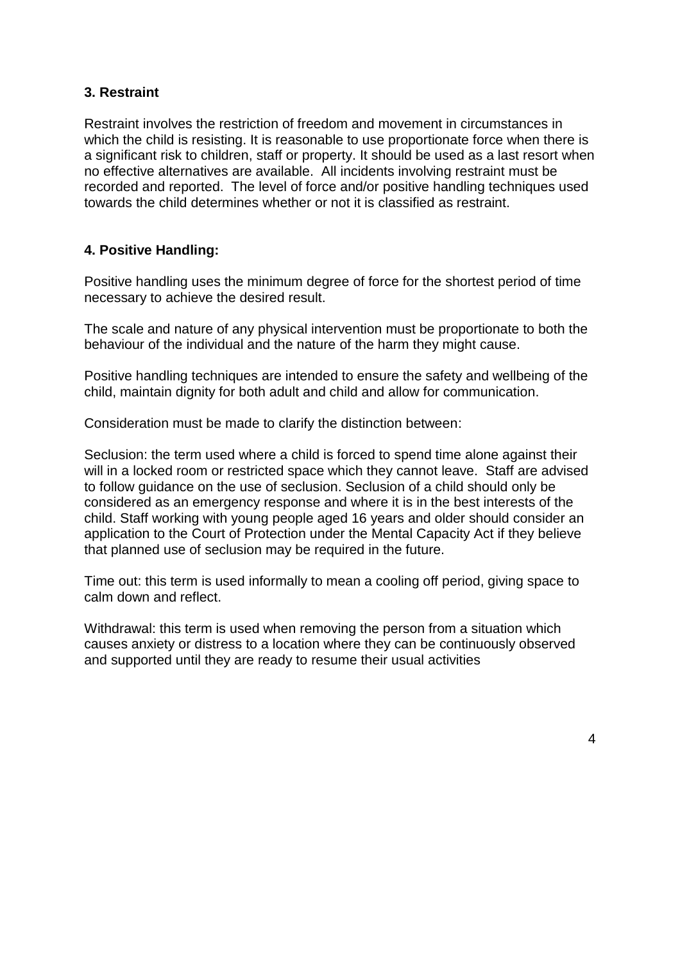### **3. Restraint**

Restraint involves the restriction of freedom and movement in circumstances in which the child is resisting. It is reasonable to use proportionate force when there is a significant risk to children, staff or property. It should be used as a last resort when no effective alternatives are available. All incidents involving restraint must be recorded and reported. The level of force and/or positive handling techniques used towards the child determines whether or not it is classified as restraint.

# **4. Positive Handling:**

Positive handling uses the minimum degree of force for the shortest period of time necessary to achieve the desired result.

The scale and nature of any physical intervention must be proportionate to both the behaviour of the individual and the nature of the harm they might cause.

Positive handling techniques are intended to ensure the safety and wellbeing of the child, maintain dignity for both adult and child and allow for communication.

Consideration must be made to clarify the distinction between:

Seclusion: the term used where a child is forced to spend time alone against their will in a locked room or restricted space which they cannot leave. Staff are advised to follow guidance on the use of seclusion. Seclusion of a child should only be considered as an emergency response and where it is in the best interests of the child. Staff working with young people aged 16 years and older should consider an application to the Court of Protection under the Mental Capacity Act if they believe that planned use of seclusion may be required in the future.

Time out: this term is used informally to mean a cooling off period, giving space to calm down and reflect.

Withdrawal: this term is used when removing the person from a situation which causes anxiety or distress to a location where they can be continuously observed and supported until they are ready to resume their usual activities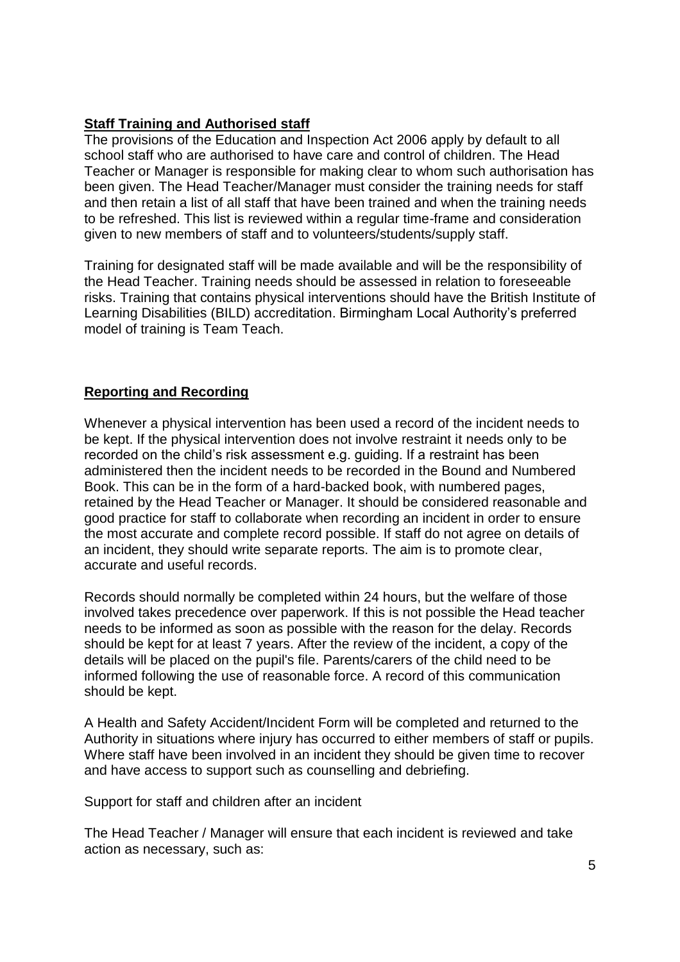# **Staff Training and Authorised staff**

The provisions of the Education and Inspection Act 2006 apply by default to all school staff who are authorised to have care and control of children. The Head Teacher or Manager is responsible for making clear to whom such authorisation has been given. The Head Teacher/Manager must consider the training needs for staff and then retain a list of all staff that have been trained and when the training needs to be refreshed. This list is reviewed within a regular time-frame and consideration given to new members of staff and to volunteers/students/supply staff.

Training for designated staff will be made available and will be the responsibility of the Head Teacher. Training needs should be assessed in relation to foreseeable risks. Training that contains physical interventions should have the British Institute of Learning Disabilities (BILD) accreditation. Birmingham Local Authority's preferred model of training is Team Teach.

# **Reporting and Recording**

Whenever a physical intervention has been used a record of the incident needs to be kept. If the physical intervention does not involve restraint it needs only to be recorded on the child's risk assessment e.g. guiding. If a restraint has been administered then the incident needs to be recorded in the Bound and Numbered Book. This can be in the form of a hard-backed book, with numbered pages, retained by the Head Teacher or Manager. It should be considered reasonable and good practice for staff to collaborate when recording an incident in order to ensure the most accurate and complete record possible. If staff do not agree on details of an incident, they should write separate reports. The aim is to promote clear, accurate and useful records.

Records should normally be completed within 24 hours, but the welfare of those involved takes precedence over paperwork. If this is not possible the Head teacher needs to be informed as soon as possible with the reason for the delay. Records should be kept for at least 7 years. After the review of the incident, a copy of the details will be placed on the pupil's file. Parents/carers of the child need to be informed following the use of reasonable force. A record of this communication should be kept.

A Health and Safety Accident/Incident Form will be completed and returned to the Authority in situations where injury has occurred to either members of staff or pupils. Where staff have been involved in an incident they should be given time to recover and have access to support such as counselling and debriefing.

Support for staff and children after an incident

The Head Teacher / Manager will ensure that each incident is reviewed and take action as necessary, such as: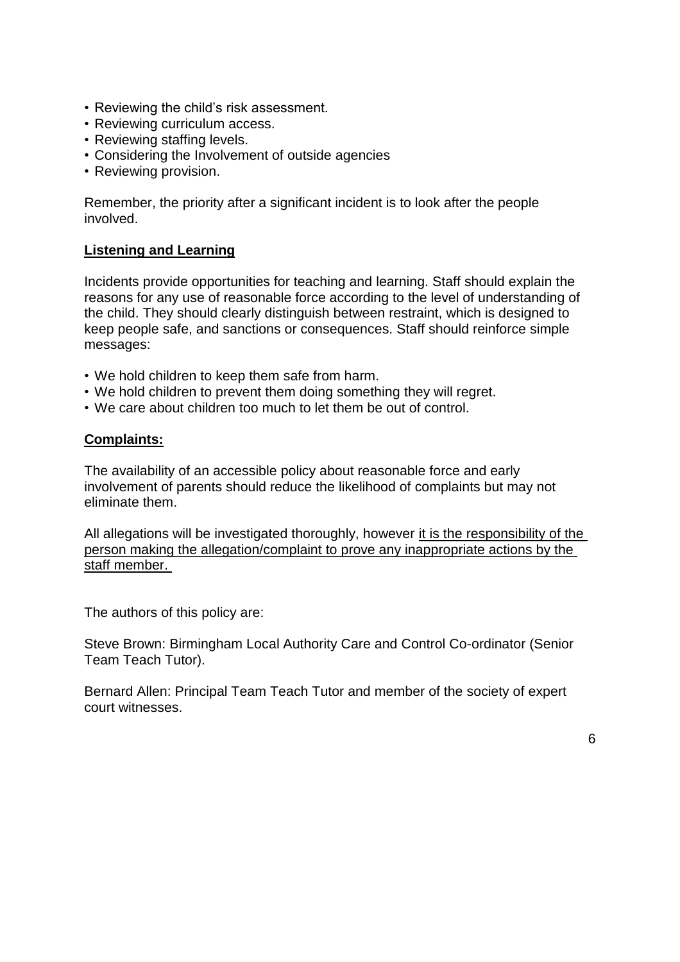- Reviewing the child's risk assessment.
- Reviewing curriculum access.
- Reviewing staffing levels.
- Considering the Involvement of outside agencies
- Reviewing provision.

Remember, the priority after a significant incident is to look after the people involved.

### **Listening and Learning**

Incidents provide opportunities for teaching and learning. Staff should explain the reasons for any use of reasonable force according to the level of understanding of the child. They should clearly distinguish between restraint, which is designed to keep people safe, and sanctions or consequences. Staff should reinforce simple messages:

- We hold children to keep them safe from harm.
- We hold children to prevent them doing something they will regret.
- We care about children too much to let them be out of control.

### **Complaints:**

The availability of an accessible policy about reasonable force and early involvement of parents should reduce the likelihood of complaints but may not eliminate them.

All allegations will be investigated thoroughly, however it is the responsibility of the person making the allegation/complaint to prove any inappropriate actions by the staff member.

The authors of this policy are:

Steve Brown: Birmingham Local Authority Care and Control Co-ordinator (Senior Team Teach Tutor).

Bernard Allen: Principal Team Teach Tutor and member of the society of expert court witnesses.